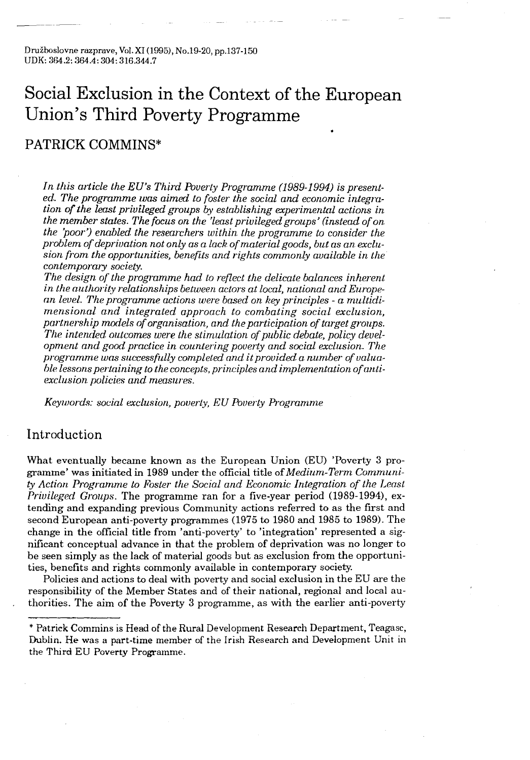## Social Exclusion in the Context of the European Union's Third Poverty Programme

### PATRICK COMMINS\*

In this article the EU's Third Poverty Programme (1989-1994) is presented. The programme was aimed to foster the social and economic integration of the least privileged groups by establishing experimental actions in the member states. The focus on the 'least privileged groups' (instead of on,  $the$  'poor') enabled the researchers within the programme to consider the problem of deprivation not only as a lack of material goods, but as an exclusion from the opportunities, benefits and rights commonly available in the contemporary society.

The design of the programme had to reflect the delicate balances inherent in the authority relationships between actors at local, national and European level. The programme actions were based on key principles - a multidimensional and integrated approach to combating social exclusion, partnership models of organisation, and the participation of target groups. The intended outcomes were the stimulation of public debate, policy development and good practice in countering poverty and social exclusion . The programme was successfully completed and it provided a number of valuable lessons pertaining to the concepts, principles and implementation of antiexclusion policies and measures.

Keywords: social exclusion, poverty, EU Poverty Programme

#### Introduction

What eventually became known as the European Union (EU) 'Poverty 3 programme' was initiated in 1989 under the official title of Medium-Term Community Action Programme to Foster the Social and Economic Integration of the Least Privileged Groups. The programme ran for a five-year period (1989-1994), extending and expanding previous Community actions referred to as the first and second European anti-poverty programmes (1975 to 1980 and 1985 to 1989) . The change in the official title from 'anti-poverty' to 'integration' represented a significant conceptual advance in that the problem of deprivation was no longer to be seen simply as the lack of material goods but as exclusion from the opportunities, benefits and rights commonly available in contemporary society .

Policies and actions to deal with poverty and social exclusion in the EU are the responsibility of the Member States and of their national, regional and local authorities . The aim of the Poverty 3 programme, as with the earlier anti-poverty

<sup>\*</sup> Patrick Commins is Head of the Rural Development Research Department, Teagasc, Dublin . He was a part-time member of the Irish Research and Development Unit in the Third EU Poverty Programme .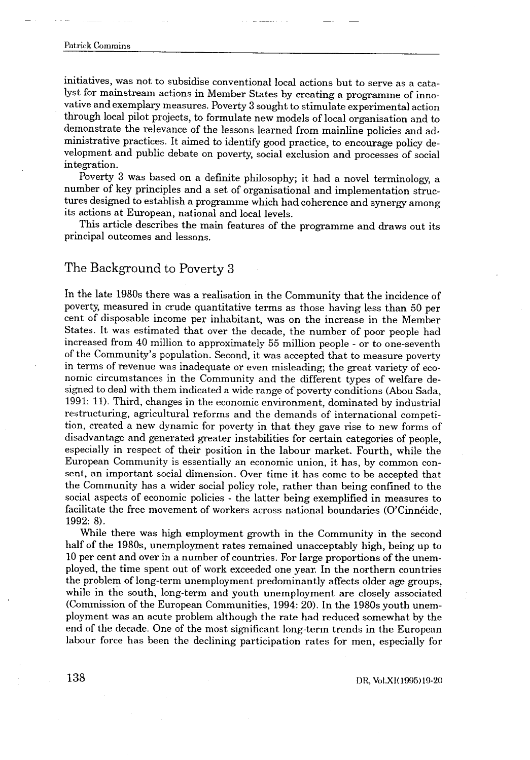# Patrick Commins  $\begin{aligned} \mathbf{P}(\mathbf{r}) = \mathbf{P}(\mathbf{r}) \mathbf{P}(\mathbf{r}) \end{aligned}$  Patric

initiatives, was not to subsidise conventional local actions but to serve as a catalyst for mainstream actions in Member States by creating a programme of innovative and exemplary measures . Poverty 3 sought to stimulate experimental action through local pilot projects, to formulate new models of local organisation and to demonstrate the relevance of the lessons learned from mainline policies and administrative practices . It aimed to identify good practice, to encourage policy development and public debate on poverty, social exclusion and processes of social integration.

Poverty 3 was based on a definite philosophy; it had a novel terminology, a number of key principles and a set of organisational and implementation structures designed to establish a programme which had coherence and synergy among its actions at European, national and local levels.

This article describes the main features of the programme and draws out its principal outcomes and lessons .

#### The Background to Poverty 3

In the late 1980s there was a realisation in the Community that the incidence of poverty, measured in crude quantitative terms as those having less than 50 per cent of disposable income per inhabitant, was on the increase in the Member States. It was estimated that over the decade, the number of poor people had increased from 40 million to approximately 55 million people - or to one-seventh of the Community's population . Second, it was accepted that to measure poverty in terms of revenue was inadequate or even misleading ; the great variety of economic circumstances in the Community and the different types of welfare designed to deal with them indicated a wide range of poverty conditions (Abou Sada, 1991: 11) . Third, changes in the economic environment, dominated by industrial restructuring, agricultural reforms and the demands of international competition, created a new dynamic for poverty in that they gave rise to new forms of disadvantage and generated greater instabilities for certain categories of people, especially in respect of their position in the labour market. Fourth, while the European Community is essentially an economic union, it has, by common consent, an important social dimension . Over time it has come to be accepted that the Community has a wider social policy role, rather than being confined to the social aspects of economic policies - the latter being exemplified in measures to facilitate the free movement of workers across national boundaries (O'Cinnéide, 1992: 8) .

While there was high employment growth in the Community in the second half of the 1980s, unemployment rates remained unacceptably high, being up to 10 per cent and over in a number of countries . For large proportions of the unemployed, the time spent out of work exceeded one year . In the northern countries the problem of long-term unemployment predominantly affects older age groups, while in the south, long-term and youth unemployment are closely associated (Commission of the European Communities, 1994 : 20) . In the 1980s youth unemployment was an acute problem although the rate had reduced somewhat by the end of the decade . One of the most significant long-term trends in the European labour force has been the declining participation rates for men, especially for

DR, Vol.Xl(1995)19-20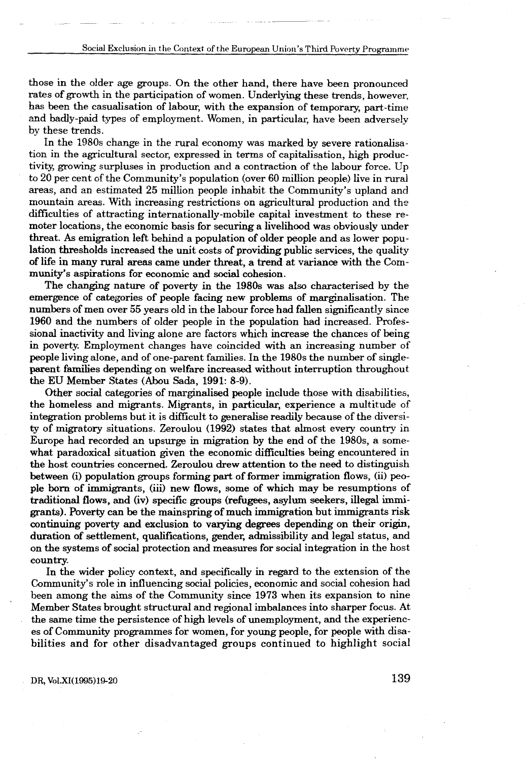those in the older age groups . On the other hand, there have been pronounced rates of growth in the participation of women. Underlying these trends, however, has been the casualisation of labour, with the expansion of temporary, part-time and badly-paid types of employment. Women, in particular, have been adversely by these trends .

In the 1980s change in the rural economy was marked by severe rationalisation in the agricultural sector, expressed in terms of capitalisation, high productivity, growing surpluses in production and a contraction of the labour force . Up to 20 per cent of the Community's population (over 60 million people) live in rural areas, and an estimated 25 million people inhabit the Community's upland and mountain areas . With increasing restrictions on agricultural production and the difficulties of attracting internationally-mobile capital investment to these remoter locations, the economic basis for securing a livelihood was obviously under threat. As emigration left behind a population of older people and as lower population thresholds increased the unit costs of providing public services, the quality of life in many rural areas came under threat, a trend at variance with the Community's aspirations for economic and social cohesion .

The changing nature of poverty in the 1980s was also characterised by the emergence of categories of people facing new problems of marginalisation . The numbers of men over 55 years old in the labour force had fallen significantly since 1960 and the numbers of older people in the population had increased . Professional inactivity and living alone are factors which increase the chances of being in poverty. Employment changes have coincided with an increasing number of people living alone, and of one-parent families . In the 1980s the number of singleparent families depending on welfare increased without interruption throughout the EU Member States (Abou Sada, 1991: 8-9).

Other social categories of marginalised people include those with disabilities, the homeless and migrants . Migrants, in particular, experience a multitude of integration problems but it is difficult to generalise readily because of the diversity of migratory situations . Zeroulou (1992) states that almost every country in Europe had recorded an upsurge in migration by the end of the 1980s, a somewhat paradoxical situation given the economic difficulties being encountered in the host countries concerned. Zeroulou drew attention to the need to distinguish between (i) population groups forming part of former immigration flows, (ii) people born of immigrants, (iii) new flows, some of which may be resumptions of traditional flows, and (iv) specific groups (refugees, asylum seekers, illegal immigrants). Poverty can be the mainspring of much immigration but immigrants risk continuing poverty and exclusion to varying degrees depending on their origin, duration of settlement, qualifications, gender, admissibility and legal status, and on the systems of social protection and measures for social integration in the host country.

In the wider policy context, and specifically in regard to the extension of the Community's role in influencing social policies, economic and social cohesion had been among the aims of the Community since 1973 when its expansion to nine Member States brought structural and regional imbalances into sharper focus . At the same time the persistence of high levels of unemployment, and the experiences of Community programmes for women, for young people, for people with disabilities and for other disadvantaged groups continued to highlight social

DR, Vol.XI(1995)19-20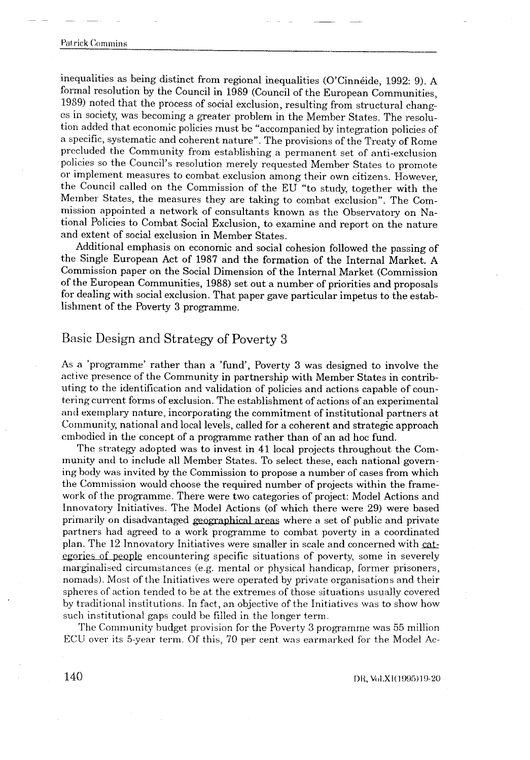inequalities as being distinct from regional inequalities (O'Cinnéide, 1992 : 9) . A formal resolution by the Council in 1989 (Council of the European Communities, 1989) noted that the process of social exclusion, resulting from structural changes in society, was becoming a greater problem in the Member States . The resolution added that economic policies must be "accompanied by integration policies of a specific, systematic and coherent nature" . The provisions of the Treaty of Rome precluded the Community from establishing a permanent set of anti-exclusion policies so the Council's resolution merely requested Member States to promote or implement measures to combat exclusion among their own citizens . However, the Council called on the Commission of the EU "to study, together with the Member States, the measures they are taking to combat exclusion". The Commission appointed a network of consultants known as the Observatory on National Policies to Combat Social Exclusion, to examine and report on the nature and extent of social exclusion in Member States .

Additional emphasis on economic and social cohesion followed the passing of the Single European Act of 1987 and the formation of the Internal Market. A Commission paper on the Social Dimension of the Internal Market (Commission of the European Communities, 1988) set out a number of priorities and proposals for dealing with social exclusion. That paper gave particular impetus to the establishment of the Poverty 3 programme .

#### Basic Design and Strategy of Poverty 3

As a 'programme' rather than a 'fund', Poverty 3 was designed to involve the active presence of the Community in partnership with Member States in contributing to the identification and validation of policies and actions capable of countering current forms of exclusion . The establishment of actions of an experimental and exemplary nature, incorporating the commitment of institutional partners at Community, national and local levels, called for a coherent and strategic approach embodied in the concept of a programme rather than of an ad hoc fund.

The strategy adopted was to invest in 41 local projects throughout the Com munity and to include all Member States. To select these, each national governing body was invited by the Commission to propose a number of cases from which the Commission would choose the required number of projects within the framework of the programme. There were two categories of project: Model Actions and Innovatory Initiatives . The Model Actions (of which there were 29) were based primarily on disadvantaged geographical areas where a set of public and private partners had agreed to a work programme to combat poverty in a coordinated plan . The 12 Innovatory Initiatives were smaller in scale and concerned with categories of people encountering specific situations of poverty, some in severely marginalised circumstances (e.g. mental or physical handicap, former prisoners, nomads) . Most of the Initiatives were operated by private organisations and their spheres of action tended to be at. the extremes of those situations usually covered by traditional institutions . In fact, an objective of the Initiatives was to show how such institutional gaps could be filled in the longer term .

The Community budget provision for the Poverty 3 programme was 55 million ECU over its 5-year term. Of this, 70 per cent was earmarked for the Model Ac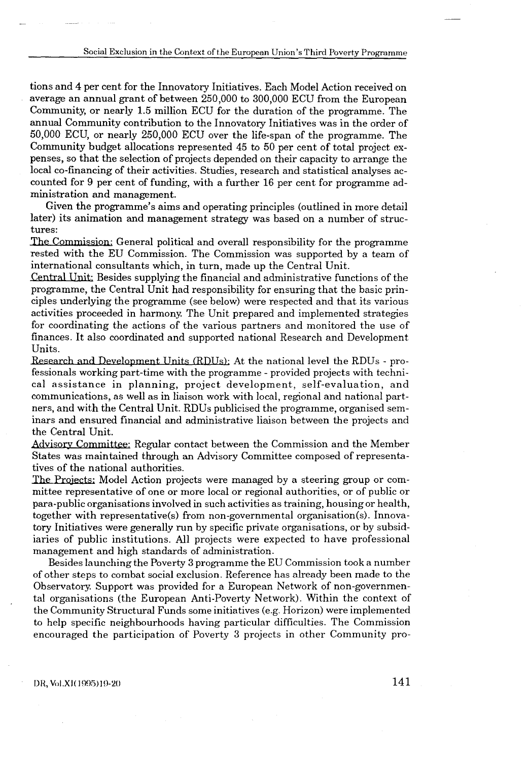tions and 4 per cent for the Innovatory Initiatives . Each Model Action received on average an annual grant of between 250,000 to 300,000 ECU from the European Community, or nearly 1.5 million ECU for the duration of the programme . The annual Community contribution to the Innovatory Initiatives was in the order of 50,000 ECU, or nearly 250,000 ECU over the life-span of the programme . The Community budget allocations represented 45 to 50 per cent of total project expenses, so that the selection of projects depended on their capacity to arrange the local co-financing of their activities . Studies, research and statistical analyses accounted for 9 per cent of funding, with a further 16 per cent for programme administration and management.

Given the programme's aims and operating principles (outlined in more detail later) its animation and management strategy was based on a number of structures:

The Commission: General political and overall responsibility for the programme rested with the EU Commission . The Commission was supported by a team of international consultants which, in turn, made up the Central Unit.

Central Unit: Besides supplying the financial and administrative functions of the programme, the Central Unit had responsibility for ensuring that the basic principles underlying the programme (see below) were respected and that its various activities proceeded in harmony. The Unit prepared and implemented strategies for coordinating the actions of the various partners and monitored the use of finances . It also coordinated and supported national Research and Development Units.

Research and Development Units (RDUs): At the national level the RDUs - professionals working part-time with the programme - provided projects with technical assistance in planning, project development, self-evaluation, and communications, as well as in liaison work with local, regional and national partners, and with the Central Unit . RDUs publicised the programme, organised seminars and ensured financial and administrative liaison between the projects and the Central Unit.

Advisory Committee: Regular contact between the Commission and the Member States was maintained through an Advisory Committee composed of representatives of the national authorities .

The Projects ; Model Action projects were managed by a steering group or committee representative of one or more local or regional authorities, or of public or para-public organisations involved in such activities as training, housing or health, together with representative(s) from non-governmental organisation(s) . Innovatory Initiatives were generally run by specific private organisations, or by subsidiaries of public institutions . All projects were expected to have professional management and high standards of administration .

Besides launching the Poverty 3 programme the EU Commission took a number of other steps to combat social exclusion . Reference has already been made to the Observatory. Support was provided for a European Network of non-governmental organisations (the European Anti-Poverty Network) . Within the context of the Community Structural Funds some initiatives (e .g . Horizon) were implemented to help specific neighbourhoods having particular difficulties . The Commission encouraged the participation of Poverty 3 projects in other Community pro-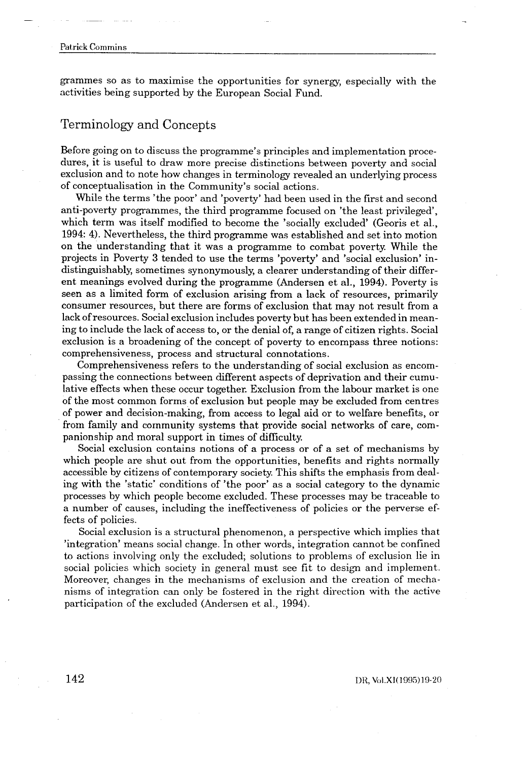# Patrick Commins  $\overline{a}$   $\overline{a}$   $\overline{a}$   $\overline{a}$   $\overline{a}$   $\overline{a}$   $\overline{a}$   $\overline{a}$   $\overline{a}$   $\overline{a}$   $\overline{a}$   $\overline{a}$   $\overline{a}$   $\overline{a}$   $\overline{a}$   $\overline{a}$   $\overline{a}$   $\overline{a}$   $\overline{a}$   $\overline{a}$   $\overline{a}$   $\overline{a}$   $\overline{a}$   $\overline{a}$   $\overline{$

grammes so as to maximise the opportunities for synergy, especially with the activities being supported by the European Social Fund.

### Terminology and Concepts

Before going on to discuss the programme's principles and implementation procedures, it is useful to draw more precise distinctions between poverty and social exclusion and to note how changes in terminology revealed an underlying process of conceptualisation in the Community's social actions .

While the terms 'the poor' and 'poverty' had been used in the first and second anti-poverty programmes, the third programme focused on 'the least privileged', which term was itself modified to become the 'socially excluded' (Georis et al., 1994: 4) . Nevertheless, the third programme was established and set into motion on the understanding that it was a programme to combat poverty . While the projects in Poverty 3 tended to use the terms 'poverty' and 'social exclusion' indistinguishably, sometimes synonymously, a clearer understanding of their different meanings evolved during the programme (Andersen et al., 1994). Poverty is seen as a limited form of exclusion arising from a lack of resources, primarily consumer resources, but there are forms of exclusion that may not result from a lack of resources . Social exclusion includes poverty but has been extended in meaning to include the lack of access to, or the denial of, a range of citizen rights . Social exclusion is a broadening of the concept of poverty to encompass three notions: comprehensiveness, process and structural connotations .

Comprehensiveness refers to the understanding of social exclusion as encompassing the connections between different aspects of deprivation and their cumulative effects when these occur together . Exclusion from the labour market is one of the most common forms of exclusion but people may be excluded from centres of power and decision-making, from access to legal aid or to welfare benefits, or from family and community systems that provide social networks of care, companionship and moral support in times of difficulty.

Social exclusion contains notions of a process or of a set of mechanisms by which people are shut out from the opportunities, benefits and rights normally accessible by citizens of contemporary society. This shifts the emphasis from dealing with the 'static' conditions of 'the poor' as a social category to the dynamic processes by which people become excluded. These processes may be traceable to a number of causes, including the ineffectiveness of policies or the perverse effects of policies.

Social exclusion is a structural phenomenon, a perspective which implies that 'integration' means social change . In other words, integration cannot be confined to actions involving only the excluded; solutions to problems of exclusion lie in social policies which society in general must see fit to design and implement. Moreover, changes in the mechanisms of exclusion and the creation of mechanisms of integration can only be fostered in the right direction with the active participation of the excluded (Andersen et al., 1994).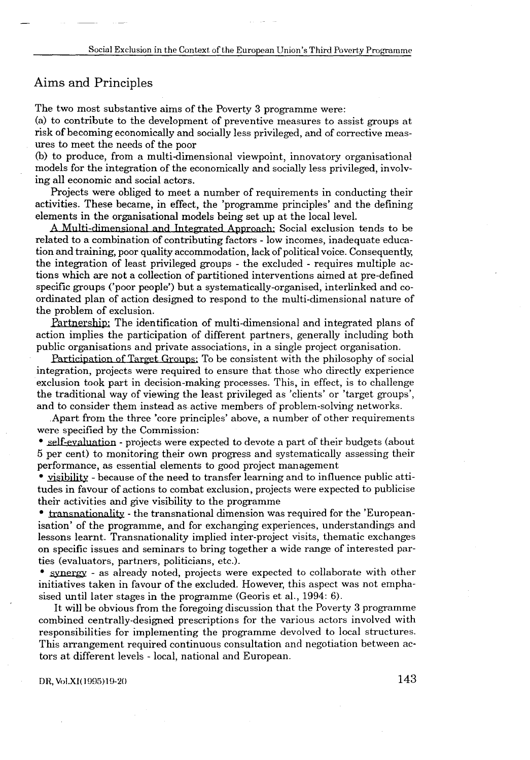#### Aims and Principles

 $\frac{1}{\sqrt{2}}\int_{0}^{\sqrt{2}}\frac{dx}{\sqrt{2}}dx$ 

The two most substantive aims of the Poverty 3 programme were :

(a) to contribute to the development of preventive measures to assist groups at risk of becoming economically and socially less privileged, and of corrective measures to meet the needs of the poor

(b) to produce, from a multi-dimensional viewpoint, innovatory organisational models for the integration of the economically and socially less privileged, involving all economic and social actors.

Projects were obliged to meet a number of requirements in conducting their activities . These became, in effect, the 'programme principles' and the defining elements in the organisational models being set up at the local level.

A Multi-dimensional and Integrated Approach: Social exclusion tends to be ere obliged to meet a number of requirements in conducting their<br>se became, in effect, the 'programme principles' and the defining<br>in the defining energy of the series of the series of the local level.<br>mensional and Integr related to a combination of contributing factors - low incomes, inadequate education and training, poor quality accommodation, lack of political voice . Consequently, the integration of least privileged groups - the excluded - requires multiple actions which are not a collection of partitioned interventions aimed at pre-defined specific groups ('poor people') but a systematically-organised, interlinked and coordinated plan of action designed to respond to the multi-dimensional nature of the problem of exclusion.

Partnership: The identification of multi-dimensional and integrated plans of action implies the participation of different partners, generally including both public organisations and private associations, in a single project organisation.

Participation of Target Groups: To be consistent with the philosophy of social integration, projects were required to ensure that those who directly experience exclusion took part in decision-making processes . This, in effect, is to challenge the traditional way of viewing the least privileged as 'clients' or 'target groups', and to consider them instead as active members of problem-solving networks .

Apart from the three 'core principles' above, a number of other requirements were specified by the Commission :

• self-evaluation - projects were expected to devote a part of their budgets (about 5 per cent) to monitoring their own progress and systematically assessing their performance, as essential elements to good project management

• visibility - because of the need to transfer learning and to influence public attitudes in favour of actions to combat exclusion, projects were expected to publicise their activities and give visibility to the programme

• transnationality - the transnational dimension was required for the 'Europeanisation' of the programme, and for exchanging experiences, understandings and lessons learnt. Transnationality implied inter-project visits, thematic exchanges on specific issues and seminars to bring together a wide range of interested parties (evaluators, partners, politicians, etc.).

• . synergy - as already noted, projects were expected to collaborate with other initiatives taken in favour of the excluded . However, this aspect was not emphasised until later stages in the programme (Georis et al., 1994: 6).

It will be obvious from the foregoing discussion that the Poverty 3 programme combined centrally-designed prescriptions for the various actors involved with responsibilities for implementing the programme devolved to local structures . This arrangement required continuous consultation and negotiation between actors at different levels - local, national and European .

#### DR, Vol.XI(1995)19-20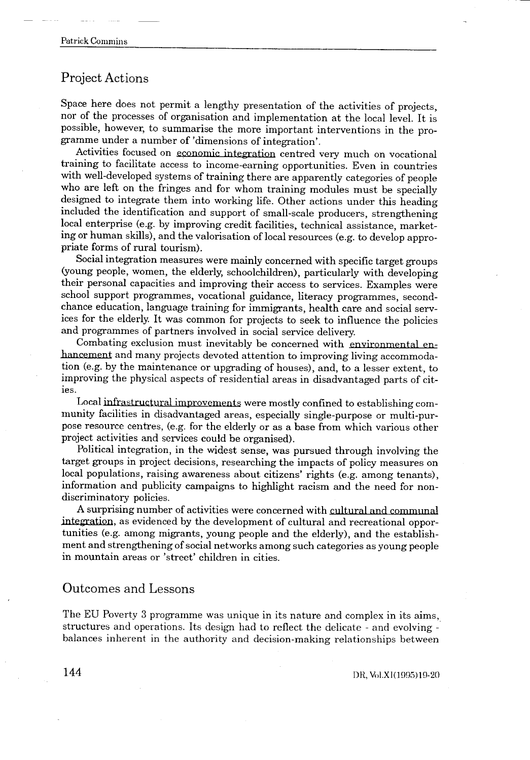#### Project Actions

Space here does not permit a lengthy presentation of the activities of projects, nor of the processes of organisation and implementation at the local level . It is possible, however, to summarise the more important interventions in the programme under a number of 'dimensions of integration' .

Activities focused on economic integration centred very much on vocational training to facilitate access to income-earning opportunities . Even in countries with well-developed systems of training there are apparently categories of people who are left on the fringes and for whom training modules must be specially designed to integrate them into working life. Other actions under this heading included the identification and support of small-scale producers, strengthening local enterprise (e .g. by improving credit facilities, technical assistance, marketing or human skills), and the valorisation of local resources (e .g. to develop appropriate forms of rural tourism) .

Social integration measures were mainly concerned with specific target groups (young people, women, the elderly, schoolchildren), particularly with developing their personal capacities and improving their access to services . Examples were school support programmes, vocational guidance, literacy programmes, secondchance education, language training for immigrants, health care and social services for the elderly. It was common for projects to seek to influence the policies and programmes of partners involved in social service delivery.

Combating exclusion must inevitably be concerned with environmental enhancement and many projects devoted attention to improving living accommodation (e .g . by the maintenance or upgrading of houses), and, to a lesser extent, to improving the physical aspects of residential areas in disadvantaged parts of cities .

Local infrastructural improvements were mostly confined to establishing community facilities in disadvantaged areas, especially single-purpose or multipurpose resource centres, (e.g. for the elderly or as a base from which various other project activities and services could be organised) .

Political integration, in the widest sense, was pursued through involving the target groups in project decisions, researching the impacts of policy measures on local populations, raising awareness about citizens' rights (e.g. among tenants), information and publicity campaigns to highlight racism and the need for nondiscriminatory policies.

A surprising number of activities were concerned with cultural and communal integration, as evidenced by the development of cultural and recreational opportunities (e.g. among migrants, young people and the elderly), and the establishment and strengthening of social networks among such categories as young people in mountain areas or 'street' children in cities.

#### Outcomes and Lessons

The EU Poverty 3 programme was unique in its nature and complex in its aims, structures and operations. Its design had to reflect the delicate - and evolving balances inherent in the authority and decision-making relationships between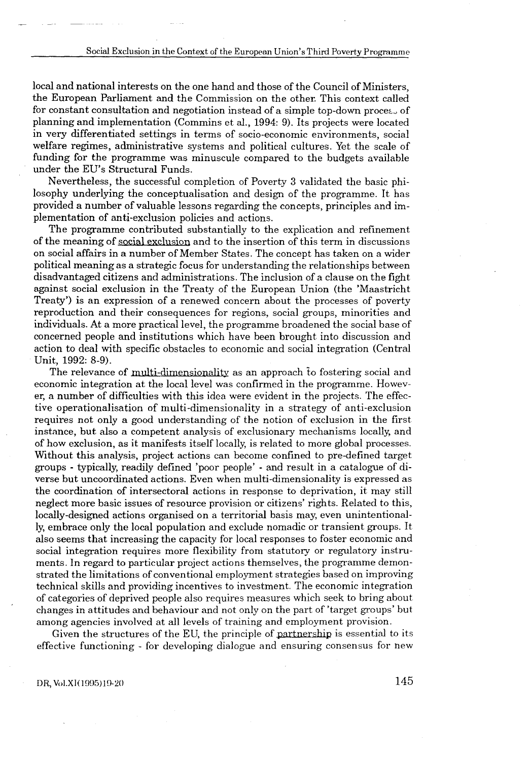local and national interests on the one hand and those of the Council of Ministers, the European Parliament and the Commission on the other . This context called for constant consultation and negotiation instead of a simple top-down process of planning and implementation (Commins et al., 1994: 9). Its projects were located in very differentiated settings in terms of socio-economic environments, social welfare regimes, administrative systems and political cultures . Yet the scale of funding for the programme was minuscule compared to the budgets available under the EU's Structural Funds .

Nevertheless, the successful completion of Poverty 3 validated the basic philosophy underlying the conceptualisation and design of the programme. It has provided a number of valuable lessons regarding the concepts, principles and implementation of anti-exclusion policies and actions .

The programme contributed substantially to the explication and refinement of the meaning of social exclusion and to the insertion of this term in discussions on social affairs in a number of Member States . The concept has taken on a wider political meaning as a strategic focus for understanding the relationships between disadvantaged citizens and administrations . The inclusion of a clause on the fight against social exclusion in the Treaty of the European Union (the 'Maastricht Treaty') is an expression of a renewed concern about the processes of poverty reproduction and their consequences for regions, social groups, minorities and individuals . At a more practical level, the programme broadened the social base of concerned people and institutions which have been brought into discussion and action to deal with specific obstacles to economic and social integration (Central Unit, 1992: 8-9) .

The relevance of multi-dimensionality as an approach to fostering social and economic integration at the local level was confirmed in the programme. However, a number of difficulties with this idea were evident in the projects . The effective operationalisation of multi-dimensionality in a strategy of anti-exclusion requires not only a good understanding of the notion of exclusion in the first instance, but also a competent analysis of exclusionary mechanisms locally, and of how exclusion, as it manifests itself locally, is related to more global processes . Without this analysis, project actions can become confined to pre-defined target groups - typically, readily defined 'poor people' - and result in a catalogue of diverse but uncoordinated actions . Even when multi-dimensionality is expressed as the coordination of intersectoral actions in response to deprivation, it may still neglect more basic issues of resource provision or citizens' rights . Related to this, locally-designed actions organised on a territorial basis may, even unintentionally, embrace only the local population and exclude nomadic or transient groups . It also seems that increasing the capacity for local responses to foster economic and social integration requires more flexibility from statutory or regulatory instruments. In regard to particular project actions themselves, the programme demonstrated the limitations of conventional employment strategies based on improving technical skills and providing incentives to investment . The economic integration of categories of deprived people also requires measures which seek to bring about changes in attitudes and behaviour and not only on the part of 'target groups' but among agencies involved at all levels of training and employment provision .

Given the structures of the EU, the principle of partnership is essential to its effective functioning - for developing dialogue and ensuring consensus for new

DR, Vol.XI(1995)19-20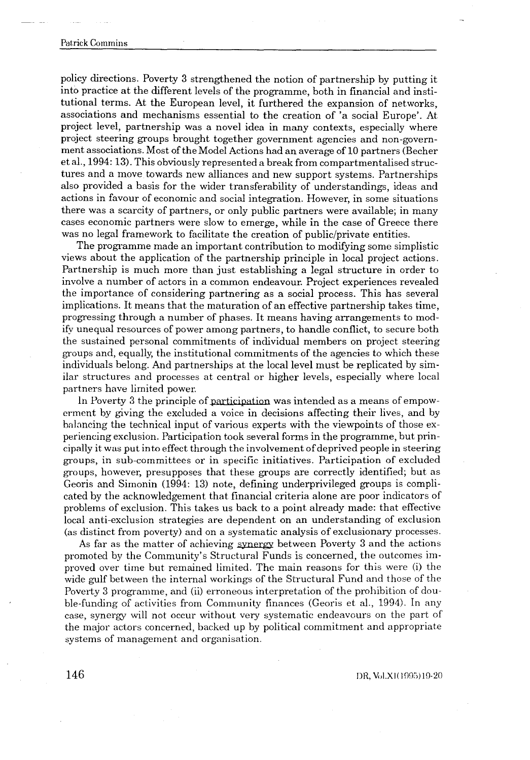policy directions . Poverty 3 strengthened the notion of partnership by putting it into practice at the different levels of the programme, both in financial and institutional terms . At the European level, it furthered the expansion of networks, associations and mechanisms essential to the creation of 'a social Europe' . At project level, partnership was a novel idea in many contexts, especially where project steering groups brought together government agencies and non-government associations . Most of the Model Actions had an average of 10 partners (Becher et al., 1994: 13). This obviously represented a break from compartmentalised structures and a move towards new alliances and new support systems . Partnerships also provided a basis for the wider transferability of understandings, ideas and actions in favour of economic and social integration . However, in some situations there was a scarcity of partners, or only public partners were available ; in many cases economic partners were slow to emerge, while in the case of Greece there was no legal framework to facilitate the creation of public/private entities.

The programme made an important contribution to modifying some simplistic views about the application of the partnership principle in local project actions . Partnership is much more than just establishing a legal structure in order to involve a number of actors in a common endeavour. Project experiences revealed the importance of considering partnering as a social process . This has several implications . It means that the maturation of an effective partnership takes time, progressing through a number of phases. It means having arrangements to modify unequal resources of power among partners, to handle conflict, to secure both the sustained personal commitments of individual members on project steering groups and, equally, the institutional commitments of the agencies to which these individuals belong . And partnerships at the local level must be replicated by similar structures and processes at central or higher levels, especially where local partners have limited power .

In Poverty 3 the principle of participation was intended as a means of empowerment by giving the excluded a voice in decisions affecting their lives, and by balancing the technical input of various experts with the viewpoints of those experiencing exclusion . Participation took several forms in the programme, but prinp cipally it. was put into effect through the involvement of deprived people in steering groups, in sub-committees or in specific initiatives. Participation of excluded groups, however, presupposes that these groups are correctly identified ; but as Georis and Simonin (1994: 13) note, defining underprivileged groups is complicated by the acknowledgement that financial criteria alone are poor indicators of problems of exclusion . This takes us back to a point already made : that effective local anti-exclusion strategies are dependent on an understanding of exclusion (as distinct from poverty) and on a systematic analysis of exclusionary processes .

As far as the matter of achieving synergy between Poverty 3 and the actions promoted by the Community's Structural Funds is concerned, the outcomes improved over time but remained limited. The main reasons for this were (i) the wide gulf between the internal workings of the Structural Fund and those of the Poverty 3 programme, and (ii) erroneous interpretation of the prohibition of double-funding of activities from Community finances (Georis et al., 1994). In any case, synergy will not occur without very systematic endeavours on the part of the major actors concerned, backed up by political commitment and appropriate systems of management and organisation.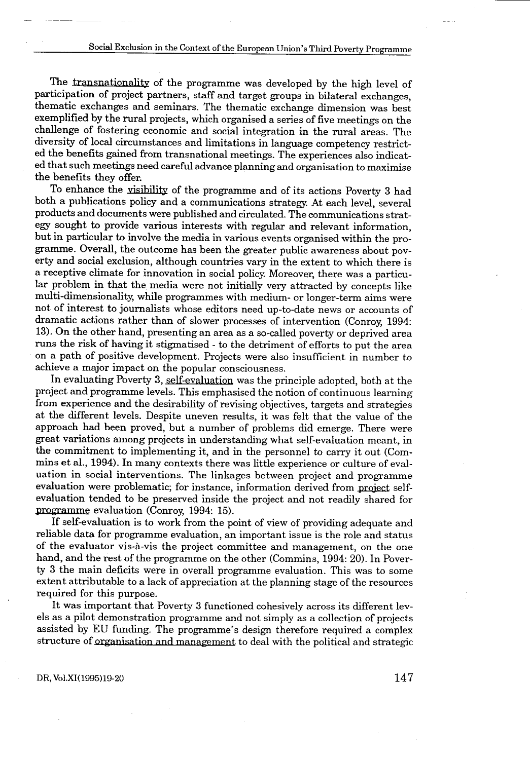The transnationality of the programme was developed by the high level of participation of project partners, staff and target groups in bilateral exchanges, thematic exchanges and seminars . The thematic exchange dimension was best exemplified by the rural projects, which organised a series of five meetings on the challenge of fostering economic and social integration in the rural areas . The diversity of local circumstances and limitations in language competency restricted the benefits gained from transnational meetings . The experiences also indicated that such meetings need careful advance planning and organisation to maximise the benefits they offer.

To enhance the visibility of the programme and of its actions Poverty 3 had both a publications policy and a communications strategy . At each level, several products and documents were published and circulated . The communications strategy sought to provide various interests with regular and relevant information, but in particular to involve the media in various events organised within the programme. Overall, the outcome has been the greater public awareness about poverty and social exclusion, although countries vary in the extent to which there is a receptive climate for innovation in social policy. Moreover, there was a particular problem in that the media were not initially very attracted by concepts like multi-dimensionality, while programmes with medium- or longer-term aims were not of interest to journalists whose editors need up-to-date news or accounts of dramatic actions rather than of slower processes of intervention (Conroy, 1994: 13) . On the other hand, presenting an area as a so-called poverty or deprived area runs the risk of having it stigmatised - to the detriment of efforts to put the area on a path of positive development. Projects were also insufficient in number to achieve a major impact on the popular consciousness .

In evaluating Poverty 3, self-evaluation was the principle adopted, both at the project and programme levels . This emphasised the notion of continuous learning from experience and the desirability of revising objectives, targets and strategies at the different levels . Despite uneven results, it was felt that the value of the approach had been proved, but a number of problems did emerge . There were great variations among projects in understanding what self-evaluation meant, in the commitment to implementing it, and in the personnel to carry it out (Com mins et al., 1994). In many contexts there was little experience or culture of evaluation in social interventions. The linkages between project and programme evaluation were problematic; for instance, information derived from project selfevaluation tended to be preserved inside the project and not readily shared for programme evaluation (Conroy, 1994: 15).

If self-evaluation is to work from the point of view of providing adequate and reliable data for programme evaluation, an important issue is the role and status of the evaluator vis-a-vis the project committee and management, on the one hand, and the rest of the programme on the other (Commins, 1994: 20). In Poverty 3 the main deficits were in overall programme evaluation . This was to some extent attributable to a lack of appreciation at the planning stage of the resources required for this purpose.

It was important that Poverty 3 functioned cohesively across its different levels as a pilot demonstration programme and not simply as a collection of projects assisted by EU funding. The programme's design therefore required a complex structure of <u>organisati</u> nat Poverty 3 functioned cohesively across its different levation programme and not simply as a collection of projects g. The programme's design therefore required a complex on and management to deal with the political and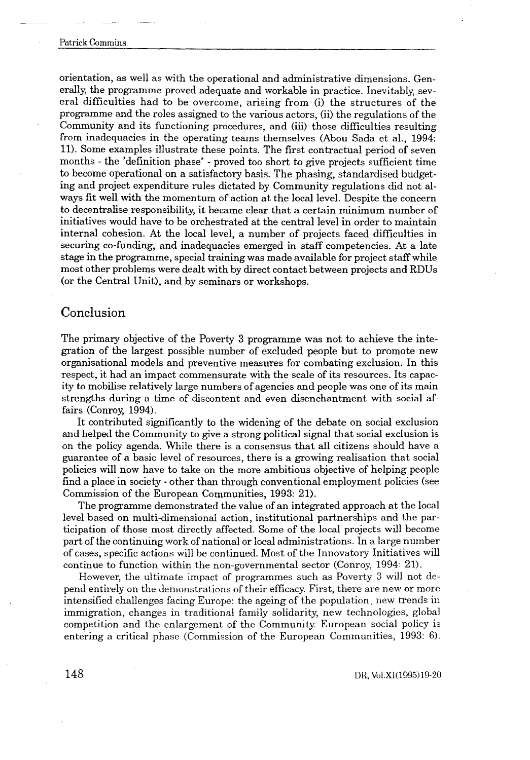orientation, as well as with the operational and administrative dimensions . Generally, the programme proved adequate and workable in practice . Inevitably, several difficulties had to be overcome, arising from (i) the structures of the programme and the roles assigned to the various actors, (ii) the regulations of the Community and its functioning procedures, and (iii) those difficulties resulting from inadequacies in the operating teams themselves (Abou Sada et al., 1994: 11) . Some examples illustrate these points . The first contractual period of seven months - the 'definition phase' - proved too short to give projects sufficient time to become operational on a satisfactory basis . The phasing, standardised budgeting and project expenditure rules dictated by Community regulations did not always fit well with the momentum of action at the local level . Despite the concern to decentralise responsibility, it became clear that a certain minimum number of initiatives would have to be orchestrated at the central level in order to maintain internal cohesion . At the local level, a number of projects faced difficulties in securing co-funding, and inadequacies emerged in staff competencies . At a late stage in the programme, special training was made available for project staff while most other problems were dealt with by direct contact between projects and RDUs (or the Central Unit), and by seminars or workshops.

#### Conclusion

The primary objective of the Poverty 3 programme was not to achieve the integration of the largest possible number of excluded people but to promote new organisational models and preventive measures for combating exclusion . In this respect, it had an impact commensurate with the scale of its resources . Its capacity to mobilise relatively large numbers of agencies and people was one of its main strengths during a time of discontent and even disenchantment with social affairs (Conroy, 1994).

It contributed significantly to the widening of the debate on social exclusion and helped the Community to give a strong political signal that social exclusion is on the policy agenda. While there is a consensus that all citizens should have a guarantee of a basic level of resources, there is a growing realisation that social policies will now have to take on the more ambitious objective of helping people find a place in society - other than through conventional employment policies (see Commission of the European Communities, 1993: 21).

The programme demonstrated the value of an integrated approach at the local level based on multi-dimensional action, institutional partnerships and the participation of those most directly affected . Some of the local projects will become part of the continuing work of national or local administrations . In a large number of cases, specific actions will be continued . Most of the Innovatory Initiatives will continue to function within the non-governmental sector (Conroy,  $1994:21$ ).

However, the ultimate impact of programmes such as Poverty 3 will not depend entirely on the demonstrations of their efficacy. First, there are new or more intensified challenges facing Europe : the ageing of the population, new trends in immigration, changes in traditional family solidarity, new technologies, global competition and the enlargement of the Community European social policy is entering a critical phase (Commission of the European Communities, 1993: 6).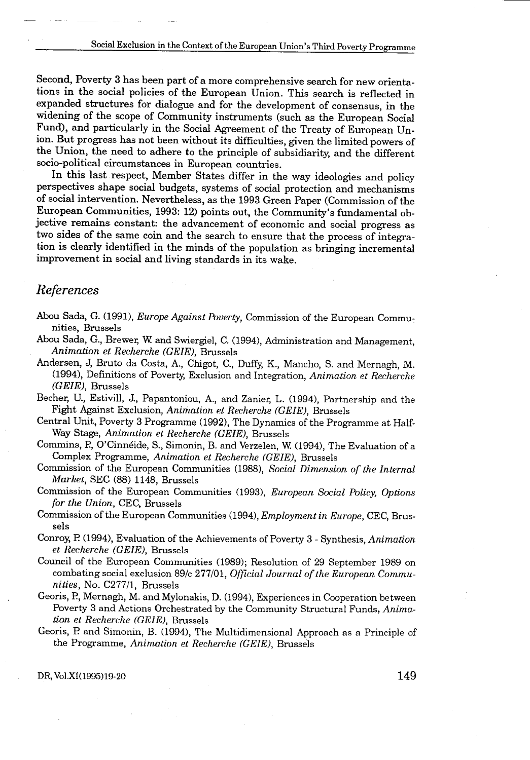Second, Poverty 3 has been part of a more comprehensive search for new orientations in the social policies of the European Union. This search is reflected in expanded structures for dialogue and for the development of consensus, in the widening of the scope of Community instruments (such as the European Social Fund), and particularly in the Social Agreement of the Treaty of European Union. But progress has not been without its difficulties, given the limited powers of the Union, the need to adhere to the principle of subsidiarity, and the different socio-political circumstances in European countries.

In this last respect, Member States differ in the way ideologies and policy perspectives shape social budgets, systems of social protection and mechanisms of social intervention . Nevertheless, as the 1993 Green Paper (Commission of the European Communities, 1993: 12) points out, the Community's fundamental objective remains constant: the advancement of economic and social progress as two sides of the same coin and the search to ensure that the process of integration is clearly identified in the minds of the population as bringing incremental improvement in social and living standards in its wake.

#### References

- Abou Sada, G. (1991), Europe Against Poverty, Commission of the European Communities, Brussels
- Abou Sada, G., Brewer, W and Swiergiel, C . (1994), Administration and Management, Animation et Recherche (GEIE), Brussels
- Andersen, J, Bruto da Costa, A., Chigot, C., Duffy, K., Mancho, S. and Mernagh, M. (1994), Definitions of Poverty, Exclusion and Integration, Animation et Recherche (GEIE), Brussels
- Becher, U., Estivill, J., Papantoniou, A., and Zanier, L . (1994), Partnership and the Fight Against Exclusion, Animation et Recherche (GEIE), Brussels
- Central Unit, Poverty 3 Programme (1992), The Dynamics of the Programme at Half-Way Stage, Animation et Recherche (GEIE), Brussels
- Commins, P., O'Cinnéide, S., Simonin, B. and Verzelen, W. (1994), The Evaluation of a Complex Programme, Animation et Recherche (GEIE), Brussels
- Commission of the European Communities (1988), Social Dimension of the Internal Market, SEC (88) 1148, Brussels
- Commission of the European Communities (1993), European Social Policy, Options for the Union, CEC, Brussels
- Commission of the European Communities (1994), Employment in Europe, CEC, Brussels
- Conroy, P (1994), Evaluation of the Achievements of Poverty 3 Synthesis, Animation et Recherche (GEIE), Brussels
- Council of the European Communities (1989) ; Resolution of 29 September 1989 on combating social exclusion 89/c 277/01, Official Journal of the European Communities, No. C277/1, Brussels
- Georis, P., Mernagh, M. and Mylonakis, D. (1994), Experiences in Cooperation between Poverty 3 and Actions Orchestrated by the Community Structural Funds, Animation et Recherche (GEIE), Brussels
- Georis, P and Simonin, B . (1994), The Multidimensional Approach as a Principle of the Programme, Animation et Recherche (GEIE), Brussels

DR, Vol.XI(1995)19-20